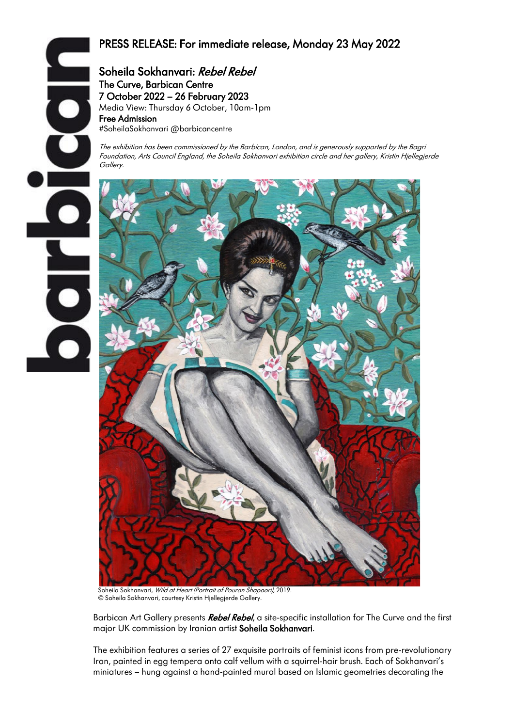# PRESS RELEASE: For immediate release, Monday 23 May 2022

Soheila Sokhanvari: Rebel Rebel The Curve, Barbican Centre 7 October 2022 – 26 February 2023 Media View: Thursday 6 October, 10am-1pm Free Admission #SoheilaSokhanvari @barbicancentre

The exhibition has been commissioned by the Barbican, London, and is generously supported by the Bagri Foundation, Arts Council England, the Soheila Sokhanvari exhibition circle and her gallery, Kristin Hjellegjerde Gallery.

BOI



 Soheila Sokhanvari, Wild at Heart (Portrait of Pouran Shapoori), 2019. © Soheila Sokhanvari, courtesy Kristin Hjellegjerde Gallery.

Barbican Art Gallery presents Rebel Rebel, a site-specific installation for The Curve and the first major UK commission by Iranian artist Soheila Sokhanvari.

 $\overline{\phantom{a}}$ 

The exhibition features a series of 27 exquisite portraits of feminist icons from pre-revolutionary Iran, painted in egg tempera onto calf vellum with a squirrel-hair brush. Each of Sokhanvari's miniatures – hung against a hand-painted mural based on Islamic geometries decorating the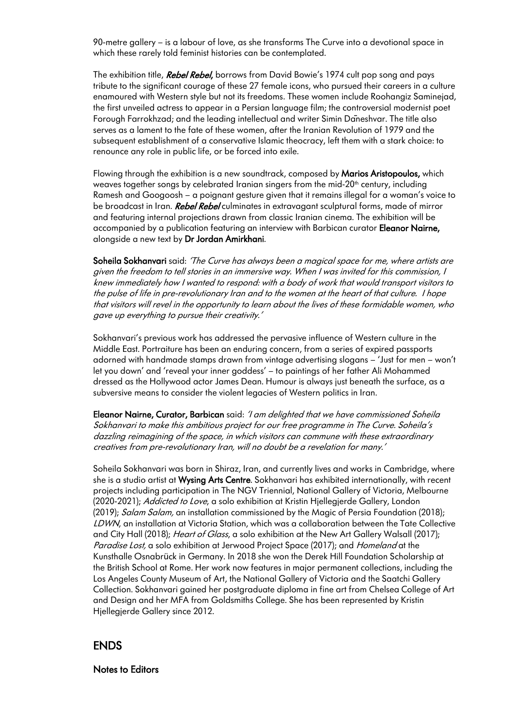90-metre gallery – is a labour of love, as she transforms The Curve into a devotional space in which these rarely told feminist histories can be contemplated.

The exhibition title, **Rebel Rebel,** borrows from David Bowie's 1974 cult pop song and pays tribute to the significant courage of these 27 female icons, who pursued their careers in a culture enamoured with Western style but not its freedoms. These women include Roohangiz Saminejad, the first unveiled actress to appear in a Persian language film; the controversial modernist poet Forough Farrokhzad; and the leading intellectual and writer Simin Dāneshvar. The title also serves as a lament to the fate of these women, after the Iranian Revolution of 1979 and the subsequent establishment of a conservative Islamic theocracy, left them with a stark choice: to renounce any role in public life, or be forced into exile.

Flowing through the exhibition is a new soundtrack, composed by Marios Aristopoulos, which weaves together songs by celebrated Iranian singers from the mid-20<sup>th</sup> century, including Ramesh and Googoosh – a poignant gesture given that it remains illegal for a woman's voice to be broadcast in Iran. Rebel Rebel culminates in extravagant sculptural forms, made of mirror and featuring internal projections drawn from classic Iranian cinema. The exhibition will be accompanied by a publication featuring an interview with Barbican curator Eleanor Nairne, alongside a new text by Dr Jordan Amirkhani.

Soheila Sokhanvari said: 'The Curve has always been a magical space for me, where artists are given the freedom to tell stories in an immersive way. When I was invited for this commission, I knew immediately how I wanted to respond: with a body of work that would transport visitors to the pulse of life in pre-revolutionary Iran and to the women at the heart of that culture. I hope that visitors will revel in the opportunity to learn about the lives of these formidable women, who gave up everything to pursue their creativity.'

Sokhanvari's previous work has addressed the pervasive influence of Western culture in the Middle East. Portraiture has been an enduring concern, from a series of expired passports adorned with handmade stamps drawn from vintage advertising slogans – 'Just for men – won't let you down' and 'reveal your inner goddess' – to paintings of her father Ali Mohammed dressed as the Hollywood actor James Dean. Humour is always just beneath the surface, as a subversive means to consider the violent legacies of Western politics in Iran.

Eleanor Nairne, Curator, Barbican said: 'I am delighted that we have commissioned Soheila Sokhanvari to make this ambitious project for our free programme in The Curve. Soheila's dazzling reimagining of the space, in which visitors can commune with these extraordinary creatives from pre-revolutionary Iran, will no doubt be a revelation for many.'

Soheila Sokhanvari was born in Shiraz, Iran, and currently lives and works in Cambridge, where she is a studio artist at Wysing Arts Centre. Sokhanvari has exhibited internationally, with recent projects including participation in The NGV Triennial, National Gallery of Victoria, Melbourne (2020-2021); Addicted to Love, a solo exhibition at Kristin Hjellegjerde Gallery, London (2019); Salam Salam, an installation commissioned by the Magic of Persia Foundation (2018); LDWN, an installation at Victoria Station, which was a collaboration between the Tate Collective and City Hall (2018); Heart of Glass, a solo exhibition at the New Art Gallery Walsall (2017); Paradise Lost, a solo exhibition at Jerwood Project Space (2017); and *Homeland* at the Kunsthalle Osnabrück in Germany. In 2018 she won the Derek Hill Foundation Scholarship at the British School at Rome. Her work now features in major permanent collections, including the Los Angeles County Museum of Art, the National Gallery of Victoria and the Saatchi Gallery Collection. Sokhanvari gained her postgraduate diploma in fine art from Chelsea College of Art and Design and her MFA from Goldsmiths College. She has been represented by Kristin Hjellegjerde Gallery since 2012.

## ENDS

Notes to Editors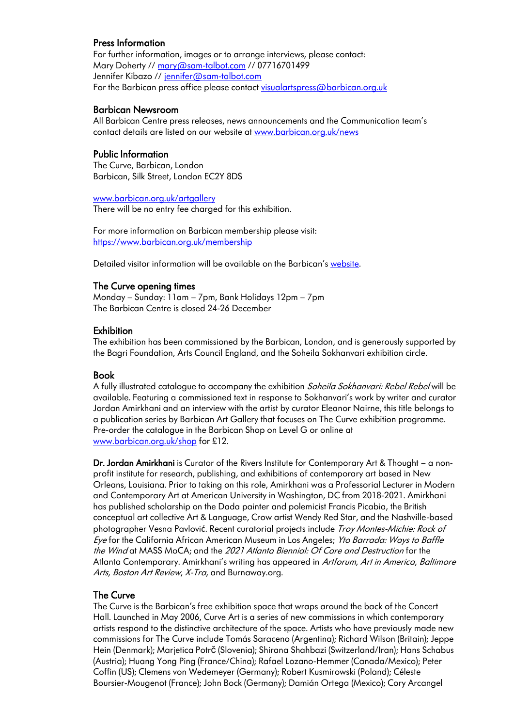## Press Information

For further information, images or to arrange interviews, please contact: Mary Doherty /[/ mary@sam-talbot.com](mailto:mary@sam-talbot.com) // 07716701499 Jennifer Kibazo // [jennifer@sam-talbot.com](mailto:jennifer@sam-talbot.com) For the Barbican press office please contact [visualartspress@barbican.org.uk](file:///C:/Users/Nadine/Documents/Freelance%20Work/Barbican/visualartspress@barbican.org.uk)

## Barbican Newsroom

All Barbican Centre press releases, news announcements and the Communication team's contact details are listed on our website at [www.barbican.org.uk/news](http://www.barbican.org.uk/news)

## Public Information

The Curve, Barbican, London Barbican, Silk Street, London EC2Y 8DS

[www.barbican.org.uk/artgallery](http://www.barbican.org.uk/artgallery) There will be no entry fee charged for this exhibition.

For more information on Barbican membership please visit: <https://www.barbican.org.uk/membership>

Detailed visitor information will be available on the Barbican's [website.](https://www.barbican.org.uk/your-visit/coronavirus-advice/essential-safety-information)

#### The Curve opening times

Monday – Sunday: 11am – 7pm, Bank Holidays 12pm – 7pm The Barbican Centre is closed 24-26 December

#### **Exhibition**

The exhibition has been commissioned by the Barbican, London, and is generously supported by the Bagri Foundation, Arts Council England, and the Soheila Sokhanvari exhibition circle.

#### Book

A fully illustrated catalogue to accompany the exhibition Soheila Sokhanvari: Rebel Rebel will be available. Featuring a commissioned text in response to Sokhanvari's work by writer and curator Jordan Amirkhani and an interview with the artist by curator Eleanor Nairne, this title belongs to a publication series by Barbican Art Gallery that focuses on The Curve exhibition programme. Pre-order the catalogue in the Barbican Shop on Level G or online at [www.barbican.org.uk/shop](http://www.barbican.org.uk/shop) for £12.

Dr. Jordan Amirkhani is Curator of the Rivers Institute for Contemporary Art & Thought – a nonprofit institute for research, publishing, and exhibitions of contemporary art based in New Orleans, Louisiana. Prior to taking on this role, Amirkhani was a Professorial Lecturer in Modern and Contemporary Art at American University in Washington, DC from 2018-2021. Amirkhani has published scholarship on the Dada painter and polemicist Francis Picabia, the British conceptual art collective Art & Language, Crow artist Wendy Red Star, and the Nashville-based photographer Vesna Pavlović. Recent curatorial projects include Troy Montes-Michie: Rock of Eye for the California African American Museum in Los Angeles; Yto Barrada: Ways to Baffle the Wind at MASS MoCA; and the 2021 Atlanta Biennial: Of Care and Destruction for the Atlanta Contemporary. Amirkhani's writing has appeared in Artforum, Art in America, Baltimore Arts, Boston Art Review, X-Tra, and Burnaway.org.

## The Curve

The Curve is the Barbican's free exhibition space that wraps around the back of the Concert Hall. Launched in May 2006, Curve Art is a series of new commissions in which contemporary artists respond to the distinctive architecture of the space. Artists who have previously made new commissions for The Curve include Tomás Saraceno (Argentina); Richard Wilson (Britain); Jeppe Hein (Denmark); Marjetica Potrč (Slovenia); Shirana Shahbazi (Switzerland/Iran); Hans Schabus (Austria); Huang Yong Ping (France/China); Rafael Lozano-Hemmer (Canada/Mexico); Peter Coffin (US); Clemens von Wedemeyer (Germany); Robert Kusmirowski (Poland); Céleste Boursier-Mougenot (France); John Bock (Germany); Damián Ortega (Mexico); Cory Arcangel